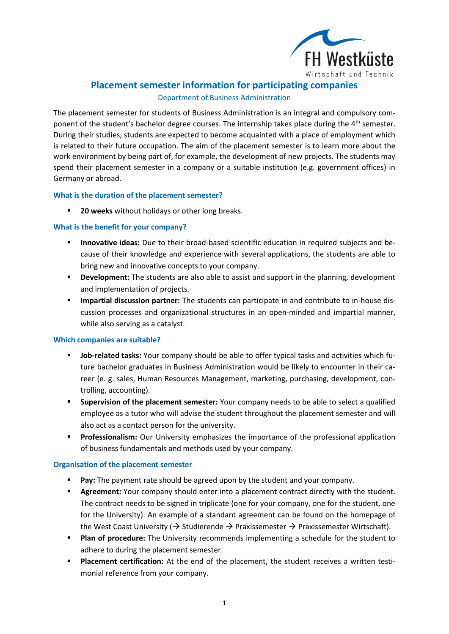

# **Placement semester information for participating companies**

## Department of Business Administration

The placement semester for students of Business Administration is an integral and compulsory component of the student's bachelor degree courses. The internship takes place during the  $4<sup>th</sup>$  semester. During their studies, students are expected to become acquainted with a place of employment which is related to their future occupation. The aim of the placement semester is to learn more about the work environment by being part of, for example, the development of new projects. The students may spend their placement semester in a company or a suitable institution (e.g. government offices) in Germany or abroad.

## **What is the duration of the placement semester?**

**20 weeks** without holidays or other long breaks.

## **What is the benefit for your company?**

- **Innovative ideas:** Due to their broad-based scientific education in required subjects and because of their knowledge and experience with several applications, the students are able to bring new and innovative concepts to your company.
- **Development:** The students are also able to assist and support in the planning, development and implementation of projects.
- **Impartial discussion partner:** The students can participate in and contribute to in-house discussion processes and organizational structures in an open-minded and impartial manner, while also serving as a catalyst.

## **Which companies are suitable?**

- **Job-related tasks:** Your company should be able to offer typical tasks and activities which future bachelor graduates in Business Administration would be likely to encounter in their career (e. g. sales, Human Resources Management, marketing, purchasing, development, controlling, accounting).
- **Supervision of the placement semester:** Your company needs to be able to select a qualified employee as a tutor who will advise the student throughout the placement semester and will also act as a contact person for the university.
- **Professionalism:** Our University emphasizes the importance of the professional application of business fundamentals and methods used by your company.

## **Organisation of the placement semester**

- **Pay:** The payment rate should be agreed upon by the student and your company.
- **Agreement:** Your company should enter into a placement contract directly with the student. The contract needs to be signed in triplicate (one for your company, one for the student, one for the University). An example of a standard agreement can be found on the homepage of the West Coast University ( $\rightarrow$  Studierende  $\rightarrow$  Praxissemester  $\rightarrow$  Praxissemester Wirtschaft).
- **Plan of procedure:** The University recommends implementing a schedule for the student to adhere to during the placement semester.
- **Placement certification:** At the end of the placement, the student receives a written testimonial reference from your company.